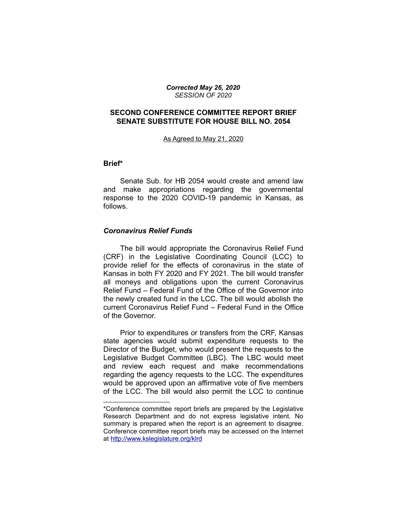*Corrected May 26, 2020 SESSION OF 2020*

## **SECOND CONFERENCE COMMITTEE REPORT BRIEF SENATE SUBSTITUTE FOR HOUSE BILL NO. 2054**

As Agreed to May 21, 2020

#### **Brief\***

Senate Sub. for HB 2054 would create and amend law and make appropriations regarding the governmental response to the 2020 COVID-19 pandemic in Kansas, as follows.

### *Coronavirus Relief Funds*

\_\_\_\_\_\_\_\_\_\_\_\_\_\_\_\_\_\_\_\_

The bill would appropriate the Coronavirus Relief Fund (CRF) in the Legislative Coordinating Council (LCC) to provide relief for the effects of coronavirus in the state of Kansas in both FY 2020 and FY 2021. The bill would transfer all moneys and obligations upon the current Coronavirus Relief Fund – Federal Fund of the Office of the Governor into the newly created fund in the LCC. The bill would abolish the current Coronavirus Relief Fund – Federal Fund in the Office of the Governor.

Prior to expenditures or transfers from the CRF, Kansas state agencies would submit expenditure requests to the Director of the Budget, who would present the requests to the Legislative Budget Committee (LBC). The LBC would meet and review each request and make recommendations regarding the agency requests to the LCC. The expenditures would be approved upon an affirmative vote of five members of the LCC. The bill would also permit the LCC to continue

<sup>\*</sup>Conference committee report briefs are prepared by the Legislative Research Department and do not express legislative intent. No summary is prepared when the report is an agreement to disagree. Conference committee report briefs may be accessed on the Internet at<http://www.kslegislature.org/klrd>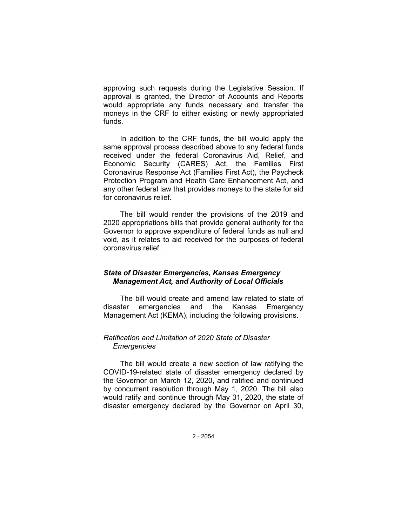approving such requests during the Legislative Session. If approval is granted, the Director of Accounts and Reports would appropriate any funds necessary and transfer the moneys in the CRF to either existing or newly appropriated funds.

In addition to the CRF funds, the bill would apply the same approval process described above to any federal funds received under the federal Coronavirus Aid, Relief, and Economic Security (CARES) Act, the Families First Coronavirus Response Act (Families First Act), the Paycheck Protection Program and Health Care Enhancement Act, and any other federal law that provides moneys to the state for aid for coronavirus relief.

The bill would render the provisions of the 2019 and 2020 appropriations bills that provide general authority for the Governor to approve expenditure of federal funds as null and void, as it relates to aid received for the purposes of federal coronavirus relief.

# *State of Disaster Emergencies, Kansas Emergency Management Act, and Authority of Local Officials*

The bill would create and amend law related to state of disaster emergencies and the Kansas Emergency Management Act (KEMA), including the following provisions.

## *Ratification and Limitation of 2020 State of Disaster Emergencies*

The bill would create a new section of law ratifying the COVID-19-related state of disaster emergency declared by the Governor on March 12, 2020, and ratified and continued by concurrent resolution through May 1, 2020. The bill also would ratify and continue through May 31, 2020, the state of disaster emergency declared by the Governor on April 30,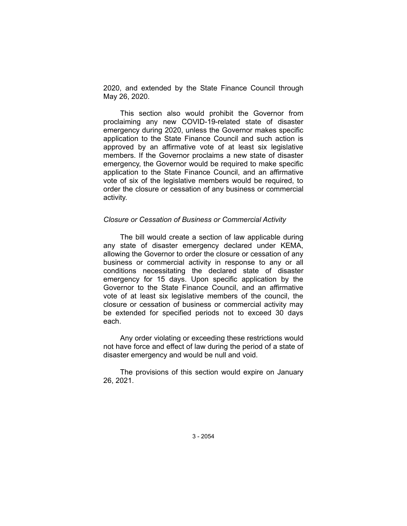2020, and extended by the State Finance Council through May 26, 2020.

This section also would prohibit the Governor from proclaiming any new COVID-19-related state of disaster emergency during 2020, unless the Governor makes specific application to the State Finance Council and such action is approved by an affirmative vote of at least six legislative members. If the Governor proclaims a new state of disaster emergency, the Governor would be required to make specific application to the State Finance Council, and an affirmative vote of six of the legislative members would be required, to order the closure or cessation of any business or commercial activity.

### *Closure or Cessation of Business or Commercial Activity*

The bill would create a section of law applicable during any state of disaster emergency declared under KEMA, allowing the Governor to order the closure or cessation of any business or commercial activity in response to any or all conditions necessitating the declared state of disaster emergency for 15 days. Upon specific application by the Governor to the State Finance Council, and an affirmative vote of at least six legislative members of the council, the closure or cessation of business or commercial activity may be extended for specified periods not to exceed 30 days each.

Any order violating or exceeding these restrictions would not have force and effect of law during the period of a state of disaster emergency and would be null and void.

The provisions of this section would expire on January 26, 2021.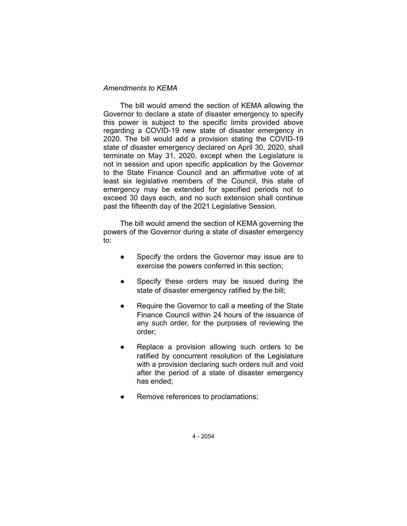## *Amendments to KEMA*

The bill would amend the section of KEMA allowing the Governor to declare a state of disaster emergency to specify this power is subject to the specific limits provided above regarding a COVID-19 new state of disaster emergency in 2020. The bill would add a provision stating the COVID-19 state of disaster emergency declared on April 30, 2020, shall terminate on May 31, 2020, except when the Legislature is not in session and upon specific application by the Governor to the State Finance Council and an affirmative vote of at least six legislative members of the Council, this state of emergency may be extended for specified periods not to exceed 30 days each, and no such extension shall continue past the fifteenth day of the 2021 Legislative Session.

The bill would amend the section of KEMA governing the powers of the Governor during a state of disaster emergency to:

- Specify the orders the Governor may issue are to exercise the powers conferred in this section;
- Specify these orders may be issued during the state of disaster emergency ratified by the bill;
- Require the Governor to call a meeting of the State Finance Council within 24 hours of the issuance of any such order, for the purposes of reviewing the order;
- Replace a provision allowing such orders to be ratified by concurrent resolution of the Legislature with a provision declaring such orders null and void after the period of a state of disaster emergency has ended;
- Remove references to proclamations;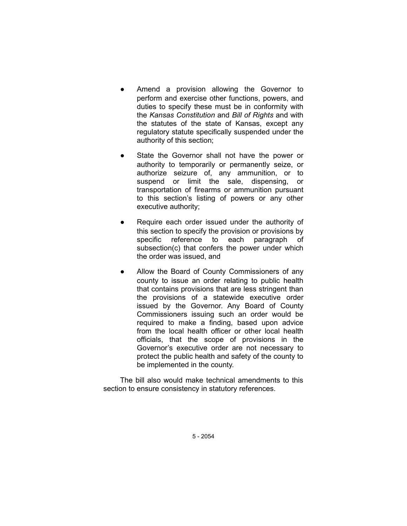- Amend a provision allowing the Governor to perform and exercise other functions, powers, and duties to specify these must be in conformity with the *Kansas Constitution* and *Bill of Rights* and with the statutes of the state of Kansas, except any regulatory statute specifically suspended under the authority of this section;
- State the Governor shall not have the power or authority to temporarily or permanently seize, or authorize seizure of, any ammunition, or to suspend or limit the sale, dispensing, or transportation of firearms or ammunition pursuant to this section's listing of powers or any other executive authority;
- Require each order issued under the authority of this section to specify the provision or provisions by specific reference to each paragraph of subsection(c) that confers the power under which the order was issued, and
- Allow the Board of County Commissioners of any county to issue an order relating to public health that contains provisions that are less stringent than the provisions of a statewide executive order issued by the Governor. Any Board of County Commissioners issuing such an order would be required to make a finding, based upon advice from the local health officer or other local health officials, that the scope of provisions in the Governor's executive order are not necessary to protect the public health and safety of the county to be implemented in the county.

The bill also would make technical amendments to this section to ensure consistency in statutory references.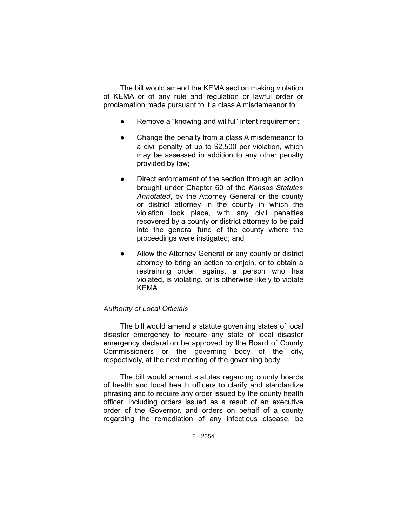The bill would amend the KEMA section making violation of KEMA or of any rule and regulation or lawful order or proclamation made pursuant to it a class A misdemeanor to:

- Remove a "knowing and willful" intent requirement;
- Change the penalty from a class A misdemeanor to a civil penalty of up to \$2,500 per violation, which may be assessed in addition to any other penalty provided by law;
- Direct enforcement of the section through an action brought under Chapter 60 of the *Kansas Statutes Annotated*, by the Attorney General or the county or district attorney in the county in which the violation took place, with any civil penalties recovered by a county or district attorney to be paid into the general fund of the county where the proceedings were instigated; and
- Allow the Attorney General or any county or district attorney to bring an action to enjoin, or to obtain a restraining order, against a person who has violated, is violating, or is otherwise likely to violate KEMA.

# *Authority of Local Officials*

The bill would amend a statute governing states of local disaster emergency to require any state of local disaster emergency declaration be approved by the Board of County Commissioners or the governing body of the city, respectively, at the next meeting of the governing body.

The bill would amend statutes regarding county boards of health and local health officers to clarify and standardize phrasing and to require any order issued by the county health officer, including orders issued as a result of an executive order of the Governor, and orders on behalf of a county regarding the remediation of any infectious disease, be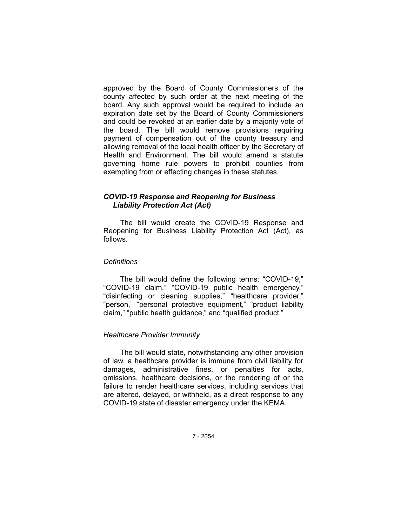approved by the Board of County Commissioners of the county affected by such order at the next meeting of the board. Any such approval would be required to include an expiration date set by the Board of County Commissioners and could be revoked at an earlier date by a majority vote of the board. The bill would remove provisions requiring payment of compensation out of the county treasury and allowing removal of the local health officer by the Secretary of Health and Environment. The bill would amend a statute governing home rule powers to prohibit counties from exempting from or effecting changes in these statutes.

# *COVID-19 Response and Reopening for Business Liability Protection Act (Act)*

The bill would create the COVID-19 Response and Reopening for Business Liability Protection Act (Act), as follows.

### *Definitions*

The bill would define the following terms: "COVID-19," "COVID-19 claim," "COVID-19 public health emergency," "disinfecting or cleaning supplies," "healthcare provider," "person," "personal protective equipment," "product liability claim," "public health guidance," and "qualified product."

## *Healthcare Provider Immunity*

The bill would state, notwithstanding any other provision of law, a healthcare provider is immune from civil liability for damages, administrative fines, or penalties for acts, omissions, healthcare decisions, or the rendering of or the failure to render healthcare services, including services that are altered, delayed, or withheld, as a direct response to any COVID-19 state of disaster emergency under the KEMA.

7 - 2054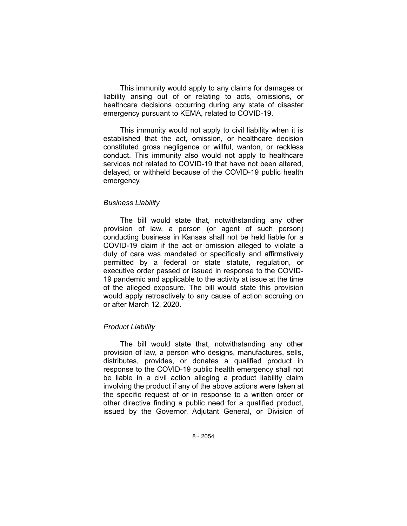This immunity would apply to any claims for damages or liability arising out of or relating to acts, omissions, or healthcare decisions occurring during any state of disaster emergency pursuant to KEMA, related to COVID-19.

This immunity would not apply to civil liability when it is established that the act, omission, or healthcare decision constituted gross negligence or willful, wanton, or reckless conduct. This immunity also would not apply to healthcare services not related to COVID-19 that have not been altered, delayed, or withheld because of the COVID-19 public health emergency.

### *Business Liability*

The bill would state that, notwithstanding any other provision of law, a person (or agent of such person) conducting business in Kansas shall not be held liable for a COVID-19 claim if the act or omission alleged to violate a duty of care was mandated or specifically and affirmatively permitted by a federal or state statute, regulation, or executive order passed or issued in response to the COVID-19 pandemic and applicable to the activity at issue at the time of the alleged exposure. The bill would state this provision would apply retroactively to any cause of action accruing on or after March 12, 2020.

## *Product Liability*

The bill would state that, notwithstanding any other provision of law, a person who designs, manufactures, sells, distributes, provides, or donates a qualified product in response to the COVID-19 public health emergency shall not be liable in a civil action alleging a product liability claim involving the product if any of the above actions were taken at the specific request of or in response to a written order or other directive finding a public need for a qualified product, issued by the Governor, Adjutant General, or Division of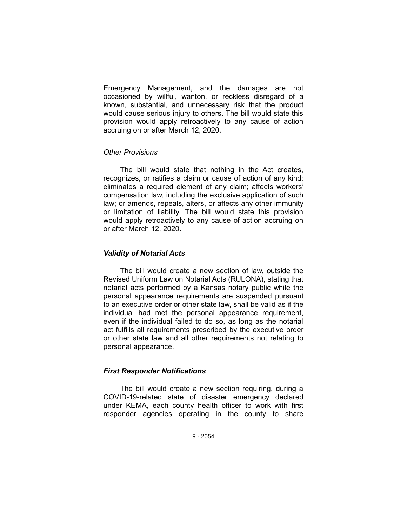Emergency Management, and the damages are not occasioned by willful, wanton, or reckless disregard of a known, substantial, and unnecessary risk that the product would cause serious injury to others. The bill would state this provision would apply retroactively to any cause of action accruing on or after March 12, 2020.

## *Other Provisions*

The bill would state that nothing in the Act creates, recognizes, or ratifies a claim or cause of action of any kind; eliminates a required element of any claim; affects workers' compensation law, including the exclusive application of such law; or amends, repeals, alters, or affects any other immunity or limitation of liability. The bill would state this provision would apply retroactively to any cause of action accruing on or after March 12, 2020.

## *Validity of Notarial Acts*

The bill would create a new section of law, outside the Revised Uniform Law on Notarial Acts (RULONA), stating that notarial acts performed by a Kansas notary public while the personal appearance requirements are suspended pursuant to an executive order or other state law, shall be valid as if the individual had met the personal appearance requirement, even if the individual failed to do so, as long as the notarial act fulfills all requirements prescribed by the executive order or other state law and all other requirements not relating to personal appearance.

## *First Responder Notifications*

The bill would create a new section requiring, during a COVID-19-related state of disaster emergency declared under KEMA, each county health officer to work with first responder agencies operating in the county to share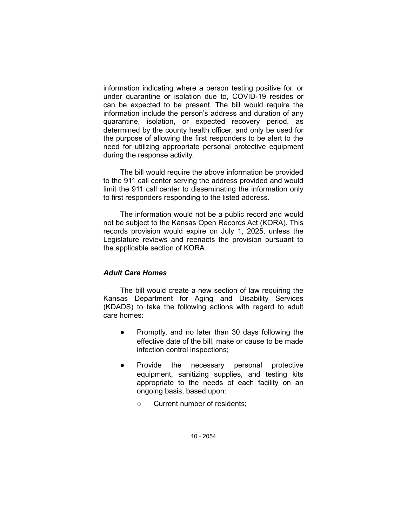information indicating where a person testing positive for, or under quarantine or isolation due to, COVID-19 resides or can be expected to be present. The bill would require the information include the person's address and duration of any quarantine, isolation, or expected recovery period, as determined by the county health officer, and only be used for the purpose of allowing the first responders to be alert to the need for utilizing appropriate personal protective equipment during the response activity.

The bill would require the above information be provided to the 911 call center serving the address provided and would limit the 911 call center to disseminating the information only to first responders responding to the listed address.

The information would not be a public record and would not be subject to the Kansas Open Records Act (KORA). This records provision would expire on July 1, 2025, unless the Legislature reviews and reenacts the provision pursuant to the applicable section of KORA.

## *Adult Care Homes*

The bill would create a new section of law requiring the Kansas Department for Aging and Disability Services (KDADS) to take the following actions with regard to adult care homes:

- Promptly, and no later than 30 days following the effective date of the bill, make or cause to be made infection control inspections;
- Provide the necessary personal protective equipment, sanitizing supplies, and testing kits appropriate to the needs of each facility on an ongoing basis, based upon:
	- Current number of residents;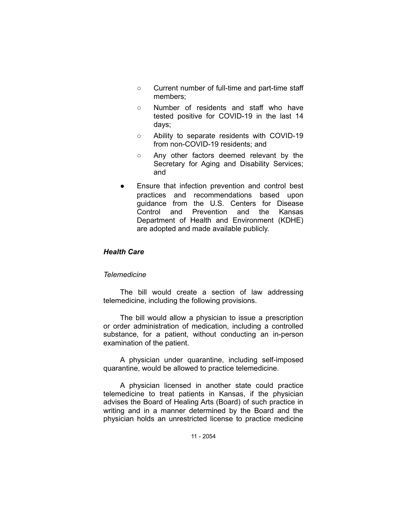- Current number of full-time and part-time staff members;
- Number of residents and staff who have tested positive for COVID-19 in the last 14 days;
- Ability to separate residents with COVID-19 from non-COVID-19 residents; and
- Any other factors deemed relevant by the Secretary for Aging and Disability Services; and
- Ensure that infection prevention and control best practices and recommendations based upon guidance from the U.S. Centers for Disease Control and Prevention and the Kansas Department of Health and Environment (KDHE) are adopted and made available publicly.

# *Health Care*

### *Telemedicine*

The bill would create a section of law addressing telemedicine, including the following provisions.

The bill would allow a physician to issue a prescription or order administration of medication, including a controlled substance, for a patient, without conducting an in-person examination of the patient.

A physician under quarantine, including self-imposed quarantine, would be allowed to practice telemedicine.

A physician licensed in another state could practice telemedicine to treat patients in Kansas, if the physician advises the Board of Healing Arts (Board) of such practice in writing and in a manner determined by the Board and the physician holds an unrestricted license to practice medicine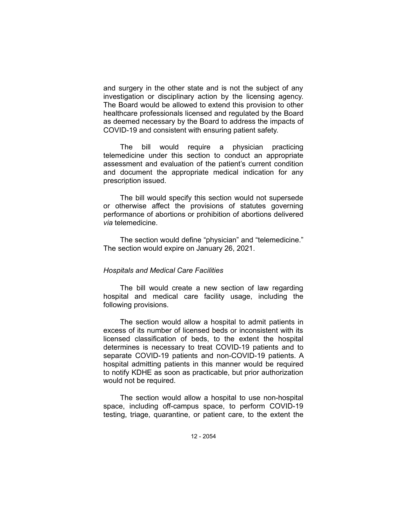and surgery in the other state and is not the subject of any investigation or disciplinary action by the licensing agency. The Board would be allowed to extend this provision to other healthcare professionals licensed and regulated by the Board as deemed necessary by the Board to address the impacts of COVID-19 and consistent with ensuring patient safety.

The bill would require a physician practicing telemedicine under this section to conduct an appropriate assessment and evaluation of the patient's current condition and document the appropriate medical indication for any prescription issued.

The bill would specify this section would not supersede or otherwise affect the provisions of statutes governing performance of abortions or prohibition of abortions delivered *via* telemedicine.

The section would define "physician" and "telemedicine." The section would expire on January 26, 2021.

### *Hospitals and Medical Care Facilities*

The bill would create a new section of law regarding hospital and medical care facility usage, including the following provisions.

The section would allow a hospital to admit patients in excess of its number of licensed beds or inconsistent with its licensed classification of beds, to the extent the hospital determines is necessary to treat COVID-19 patients and to separate COVID-19 patients and non-COVID-19 patients. A hospital admitting patients in this manner would be required to notify KDHE as soon as practicable, but prior authorization would not be required.

The section would allow a hospital to use non-hospital space, including off-campus space, to perform COVID-19 testing, triage, quarantine, or patient care, to the extent the

12 - 2054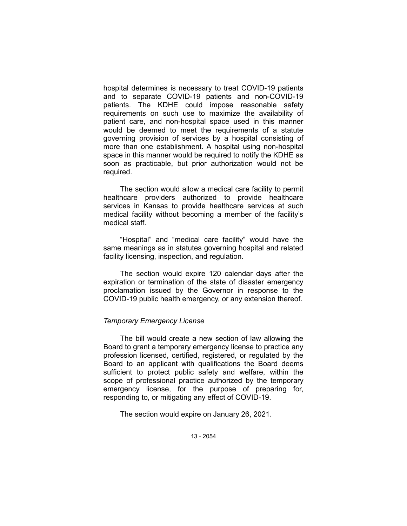hospital determines is necessary to treat COVID-19 patients and to separate COVID-19 patients and non-COVID-19 patients. The KDHE could impose reasonable safety requirements on such use to maximize the availability of patient care, and non-hospital space used in this manner would be deemed to meet the requirements of a statute governing provision of services by a hospital consisting of more than one establishment. A hospital using non-hospital space in this manner would be required to notify the KDHE as soon as practicable, but prior authorization would not be required.

The section would allow a medical care facility to permit healthcare providers authorized to provide healthcare services in Kansas to provide healthcare services at such medical facility without becoming a member of the facility's medical staff.

"Hospital" and "medical care facility" would have the same meanings as in statutes governing hospital and related facility licensing, inspection, and regulation.

The section would expire 120 calendar days after the expiration or termination of the state of disaster emergency proclamation issued by the Governor in response to the COVID-19 public health emergency, or any extension thereof.

## *Temporary Emergency License*

The bill would create a new section of law allowing the Board to grant a temporary emergency license to practice any profession licensed, certified, registered, or regulated by the Board to an applicant with qualifications the Board deems sufficient to protect public safety and welfare, within the scope of professional practice authorized by the temporary emergency license, for the purpose of preparing for, responding to, or mitigating any effect of COVID-19.

The section would expire on January 26, 2021.

13 - 2054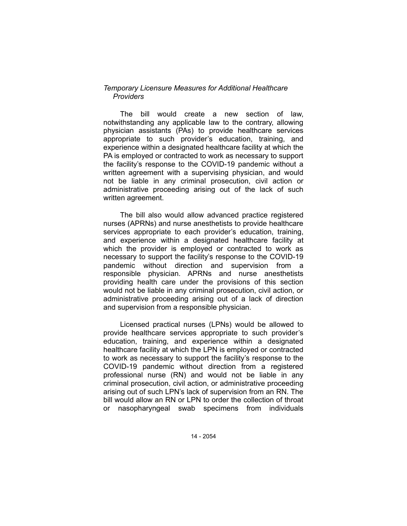## *Temporary Licensure Measures for Additional Healthcare Providers*

The bill would create a new section of law, notwithstanding any applicable law to the contrary, allowing physician assistants (PAs) to provide healthcare services appropriate to such provider's education, training, and experience within a designated healthcare facility at which the PA is employed or contracted to work as necessary to support the facility's response to the COVID-19 pandemic without a written agreement with a supervising physician, and would not be liable in any criminal prosecution, civil action or administrative proceeding arising out of the lack of such written agreement.

The bill also would allow advanced practice registered nurses (APRNs) and nurse anesthetists to provide healthcare services appropriate to each provider's education, training, and experience within a designated healthcare facility at which the provider is employed or contracted to work as necessary to support the facility's response to the COVID-19 pandemic without direction and supervision from a responsible physician. APRNs and nurse anesthetists providing health care under the provisions of this section would not be liable in any criminal prosecution, civil action, or administrative proceeding arising out of a lack of direction and supervision from a responsible physician.

Licensed practical nurses (LPNs) would be allowed to provide healthcare services appropriate to such provider's education, training, and experience within a designated healthcare facility at which the LPN is employed or contracted to work as necessary to support the facility's response to the COVID-19 pandemic without direction from a registered professional nurse (RN) and would not be liable in any criminal prosecution, civil action, or administrative proceeding arising out of such LPN's lack of supervision from an RN. The bill would allow an RN or LPN to order the collection of throat or nasopharyngeal swab specimens from individuals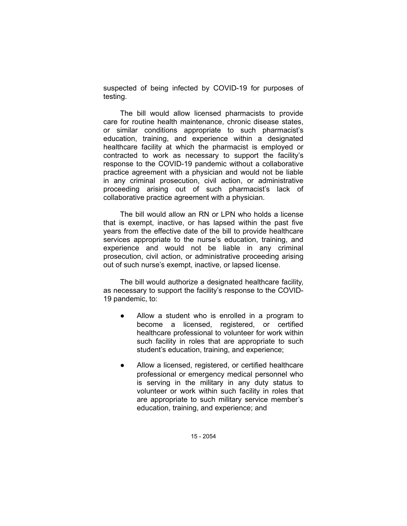suspected of being infected by COVID-19 for purposes of testing.

The bill would allow licensed pharmacists to provide care for routine health maintenance, chronic disease states, or similar conditions appropriate to such pharmacist's education, training, and experience within a designated healthcare facility at which the pharmacist is employed or contracted to work as necessary to support the facility's response to the COVID-19 pandemic without a collaborative practice agreement with a physician and would not be liable in any criminal prosecution, civil action, or administrative proceeding arising out of such pharmacist's lack of collaborative practice agreement with a physician.

The bill would allow an RN or LPN who holds a license that is exempt, inactive, or has lapsed within the past five years from the effective date of the bill to provide healthcare services appropriate to the nurse's education, training, and experience and would not be liable in any criminal prosecution, civil action, or administrative proceeding arising out of such nurse's exempt, inactive, or lapsed license.

The bill would authorize a designated healthcare facility, as necessary to support the facility's response to the COVID-19 pandemic, to:

- Allow a student who is enrolled in a program to become a licensed, registered, or certified healthcare professional to volunteer for work within such facility in roles that are appropriate to such student's education, training, and experience;
- Allow a licensed, registered, or certified healthcare professional or emergency medical personnel who is serving in the military in any duty status to volunteer or work within such facility in roles that are appropriate to such military service member's education, training, and experience; and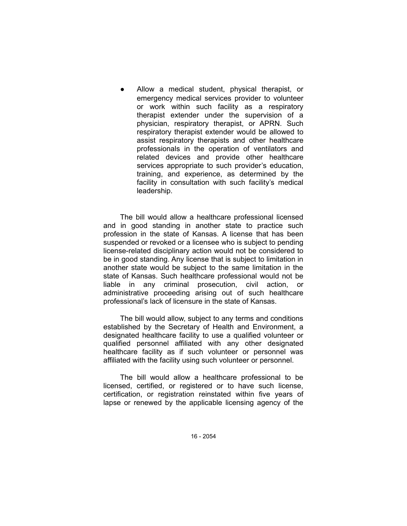Allow a medical student, physical therapist, or emergency medical services provider to volunteer or work within such facility as a respiratory therapist extender under the supervision of a physician, respiratory therapist, or APRN. Such respiratory therapist extender would be allowed to assist respiratory therapists and other healthcare professionals in the operation of ventilators and related devices and provide other healthcare services appropriate to such provider's education, training, and experience, as determined by the facility in consultation with such facility's medical leadership.

The bill would allow a healthcare professional licensed and in good standing in another state to practice such profession in the state of Kansas. A license that has been suspended or revoked or a licensee who is subject to pending license-related disciplinary action would not be considered to be in good standing. Any license that is subject to limitation in another state would be subject to the same limitation in the state of Kansas. Such healthcare professional would not be liable in any criminal prosecution, civil action, or administrative proceeding arising out of such healthcare professional's lack of licensure in the state of Kansas.

The bill would allow, subject to any terms and conditions established by the Secretary of Health and Environment, a designated healthcare facility to use a qualified volunteer or qualified personnel affiliated with any other designated healthcare facility as if such volunteer or personnel was affiliated with the facility using such volunteer or personnel.

The bill would allow a healthcare professional to be licensed, certified, or registered or to have such license, certification, or registration reinstated within five years of lapse or renewed by the applicable licensing agency of the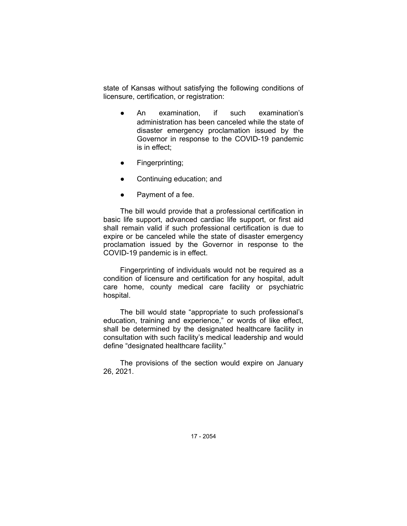state of Kansas without satisfying the following conditions of licensure, certification, or registration:

- An examination, if such examination's administration has been canceled while the state of disaster emergency proclamation issued by the Governor in response to the COVID-19 pandemic is in effect;
- Fingerprinting;
- Continuing education; and
- Payment of a fee.

The bill would provide that a professional certification in basic life support, advanced cardiac life support, or first aid shall remain valid if such professional certification is due to expire or be canceled while the state of disaster emergency proclamation issued by the Governor in response to the COVID-19 pandemic is in effect.

Fingerprinting of individuals would not be required as a condition of licensure and certification for any hospital, adult care home, county medical care facility or psychiatric hospital.

The bill would state "appropriate to such professional's education, training and experience," or words of like effect, shall be determined by the designated healthcare facility in consultation with such facility's medical leadership and would define "designated healthcare facility."

The provisions of the section would expire on January 26, 2021.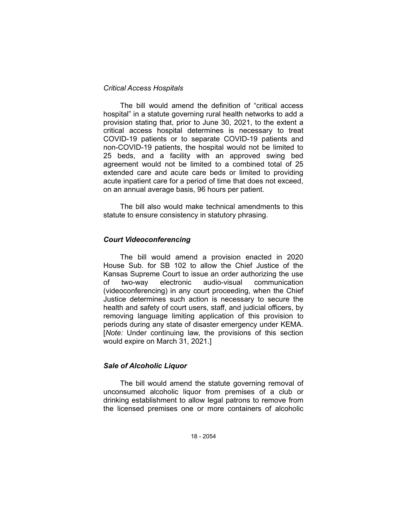## *Critical Access Hospitals*

The bill would amend the definition of "critical access hospital" in a statute governing rural health networks to add a provision stating that, prior to June 30, 2021, to the extent a critical access hospital determines is necessary to treat COVID-19 patients or to separate COVID-19 patients and non-COVID-19 patients, the hospital would not be limited to 25 beds, and a facility with an approved swing bed agreement would not be limited to a combined total of 25 extended care and acute care beds or limited to providing acute inpatient care for a period of time that does not exceed, on an annual average basis, 96 hours per patient.

The bill also would make technical amendments to this statute to ensure consistency in statutory phrasing.

## *Court Videoconferencing*

The bill would amend a provision enacted in 2020 House Sub. for SB 102 to allow the Chief Justice of the Kansas Supreme Court to issue an order authorizing the use of two-way electronic audio-visual communication (videoconferencing) in any court proceeding, when the Chief Justice determines such action is necessary to secure the health and safety of court users, staff, and judicial officers, by removing language limiting application of this provision to periods during any state of disaster emergency under KEMA. [*Note:* Under continuing law, the provisions of this section would expire on March 31, 2021.]

## *Sale of Alcoholic Liquor*

The bill would amend the statute governing removal of unconsumed alcoholic liquor from premises of a club or drinking establishment to allow legal patrons to remove from the licensed premises one or more containers of alcoholic

18 - 2054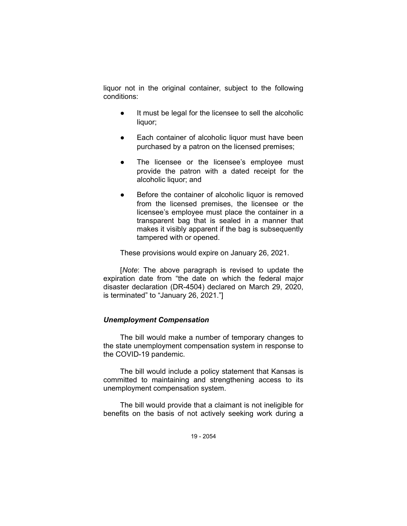liquor not in the original container, subject to the following conditions:

- It must be legal for the licensee to sell the alcoholic liquor;
- Each container of alcoholic liquor must have been purchased by a patron on the licensed premises;
- The licensee or the licensee's employee must provide the patron with a dated receipt for the alcoholic liquor; and
- Before the container of alcoholic liquor is removed from the licensed premises, the licensee or the licensee's employee must place the container in a transparent bag that is sealed in a manner that makes it visibly apparent if the bag is subsequently tampered with or opened.

These provisions would expire on January 26, 2021.

[*Note*: The above paragraph is revised to update the expiration date from "the date on which the federal major disaster declaration (DR-4504) declared on March 29, 2020, is terminated" to "January 26, 2021."]

## *Unemployment Compensation*

The bill would make a number of temporary changes to the state unemployment compensation system in response to the COVID-19 pandemic.

The bill would include a policy statement that Kansas is committed to maintaining and strengthening access to its unemployment compensation system.

The bill would provide that a claimant is not ineligible for benefits on the basis of not actively seeking work during a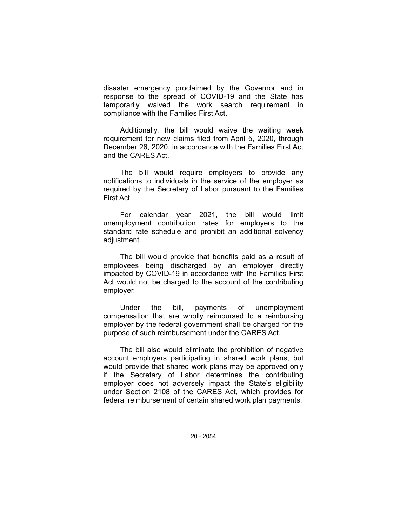disaster emergency proclaimed by the Governor and in response to the spread of COVID-19 and the State has temporarily waived the work search requirement in compliance with the Families First Act.

Additionally, the bill would waive the waiting week requirement for new claims filed from April 5, 2020, through December 26, 2020, in accordance with the Families First Act and the CARES Act.

The bill would require employers to provide any notifications to individuals in the service of the employer as required by the Secretary of Labor pursuant to the Families First Act.

For calendar year 2021, the bill would limit unemployment contribution rates for employers to the standard rate schedule and prohibit an additional solvency adjustment.

The bill would provide that benefits paid as a result of employees being discharged by an employer directly impacted by COVID-19 in accordance with the Families First Act would not be charged to the account of the contributing employer.

Under the bill, payments of unemployment compensation that are wholly reimbursed to a reimbursing employer by the federal government shall be charged for the purpose of such reimbursement under the CARES Act.

The bill also would eliminate the prohibition of negative account employers participating in shared work plans, but would provide that shared work plans may be approved only if the Secretary of Labor determines the contributing employer does not adversely impact the State's eligibility under Section 2108 of the CARES Act, which provides for federal reimbursement of certain shared work plan payments.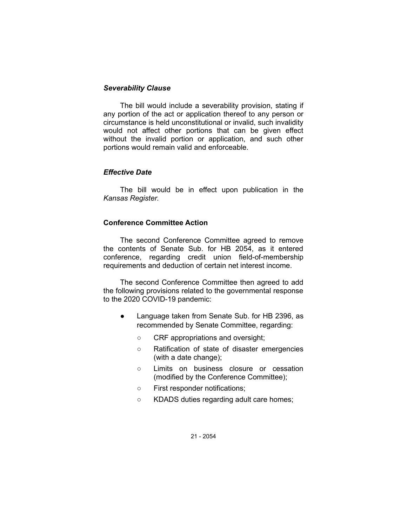## *Severability Clause*

The bill would include a severability provision, stating if any portion of the act or application thereof to any person or circumstance is held unconstitutional or invalid, such invalidity would not affect other portions that can be given effect without the invalid portion or application, and such other portions would remain valid and enforceable.

## *Effective Date*

The bill would be in effect upon publication in the *Kansas Register*.

## **Conference Committee Action**

The second Conference Committee agreed to remove the contents of Senate Sub. for HB 2054, as it entered conference, regarding credit union field-of-membership requirements and deduction of certain net interest income.

The second Conference Committee then agreed to add the following provisions related to the governmental response to the 2020 COVID-19 pandemic:

- Language taken from Senate Sub. for HB 2396, as recommended by Senate Committee, regarding:
	- CRF appropriations and oversight;
	- Ratification of state of disaster emergencies (with a date change);
	- Limits on business closure or cessation (modified by the Conference Committee);
	- First responder notifications;
	- KDADS duties regarding adult care homes;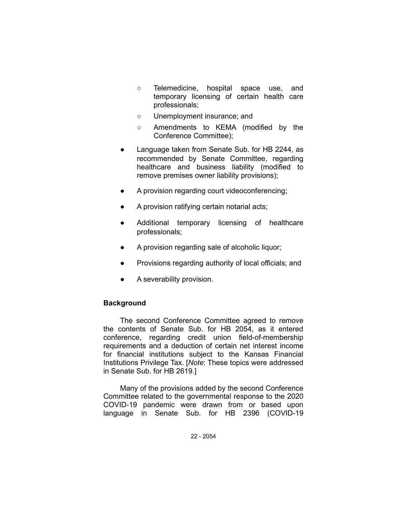- Telemedicine, hospital space use, and temporary licensing of certain health care professionals;
- Unemployment insurance; and
- Amendments to KEMA (modified by the Conference Committee);
- Language taken from Senate Sub. for HB 2244, as recommended by Senate Committee, regarding healthcare and business liability (modified to remove premises owner liability provisions);
- A provision regarding court videoconferencing;
- A provision ratifying certain notarial acts;
- Additional temporary licensing of healthcare professionals;
- A provision regarding sale of alcoholic liquor;
- Provisions regarding authority of local officials; and
- A severability provision.

## **Background**

The second Conference Committee agreed to remove the contents of Senate Sub. for HB 2054, as it entered conference, regarding credit union field-of-membership requirements and a deduction of certain net interest income for financial institutions subject to the Kansas Financial Institutions Privilege Tax. [*Note*: These topics were addressed in Senate Sub. for HB 2619.]

Many of the provisions added by the second Conference Committee related to the governmental response to the 2020 COVID-19 pandemic were drawn from or based upon language in Senate Sub. for HB 2396 (COVID-19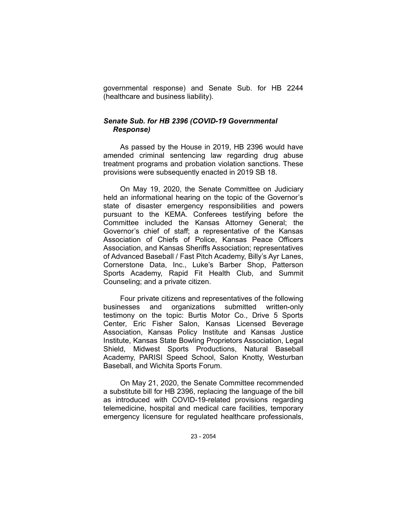governmental response) and Senate Sub. for HB 2244 (healthcare and business liability).

# *Senate Sub. for HB 2396 (COVID-19 Governmental Response)*

As passed by the House in 2019, HB 2396 would have amended criminal sentencing law regarding drug abuse treatment programs and probation violation sanctions. These provisions were subsequently enacted in 2019 SB 18.

On May 19, 2020, the Senate Committee on Judiciary held an informational hearing on the topic of the Governor's state of disaster emergency responsibilities and powers pursuant to the KEMA. Conferees testifying before the Committee included the Kansas Attorney General; the Governor's chief of staff; a representative of the Kansas Association of Chiefs of Police, Kansas Peace Officers Association, and Kansas Sheriffs Association; representatives of Advanced Baseball / Fast Pitch Academy, Billy's Ayr Lanes, Cornerstone Data, Inc., Luke's Barber Shop, Patterson Sports Academy, Rapid Fit Health Club, and Summit Counseling; and a private citizen.

Four private citizens and representatives of the following businesses and organizations submitted written-only testimony on the topic: Burtis Motor Co., Drive 5 Sports Center, Eric Fisher Salon, Kansas Licensed Beverage Association, Kansas Policy Institute and Kansas Justice Institute, Kansas State Bowling Proprietors Association, Legal Shield, Midwest Sports Productions, Natural Baseball Academy, PARISI Speed School, Salon Knotty, Westurban Baseball, and Wichita Sports Forum.

On May 21, 2020, the Senate Committee recommended a substitute bill for HB 2396, replacing the language of the bill as introduced with COVID-19-related provisions regarding telemedicine, hospital and medical care facilities, temporary emergency licensure for regulated healthcare professionals,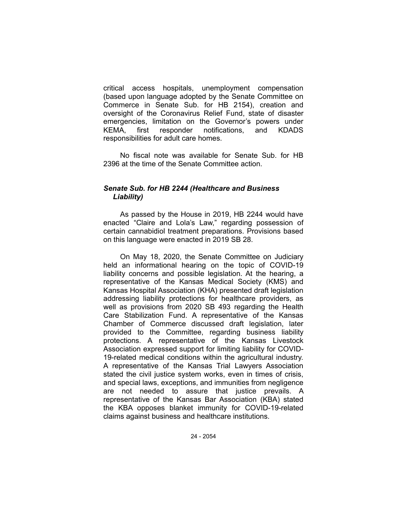critical access hospitals, unemployment compensation (based upon language adopted by the Senate Committee on Commerce in Senate Sub. for HB 2154), creation and oversight of the Coronavirus Relief Fund, state of disaster emergencies, limitation on the Governor's powers under KEMA, first responder notifications, and KDADS responsibilities for adult care homes.

No fiscal note was available for Senate Sub. for HB 2396 at the time of the Senate Committee action.

# *Senate Sub. for HB 2244 (Healthcare and Business Liability)*

As passed by the House in 2019, HB 2244 would have enacted "Claire and Lola's Law," regarding possession of certain cannabidiol treatment preparations. Provisions based on this language were enacted in 2019 SB 28.

On May 18, 2020, the Senate Committee on Judiciary held an informational hearing on the topic of COVID-19 liability concerns and possible legislation. At the hearing, a representative of the Kansas Medical Society (KMS) and Kansas Hospital Association (KHA) presented draft legislation addressing liability protections for healthcare providers, as well as provisions from 2020 SB 493 regarding the Health Care Stabilization Fund. A representative of the Kansas Chamber of Commerce discussed draft legislation, later provided to the Committee, regarding business liability protections. A representative of the Kansas Livestock Association expressed support for limiting liability for COVID-19-related medical conditions within the agricultural industry. A representative of the Kansas Trial Lawyers Association stated the civil justice system works, even in times of crisis, and special laws, exceptions, and immunities from negligence are not needed to assure that justice prevails. A representative of the Kansas Bar Association (KBA) stated the KBA opposes blanket immunity for COVID-19-related claims against business and healthcare institutions.